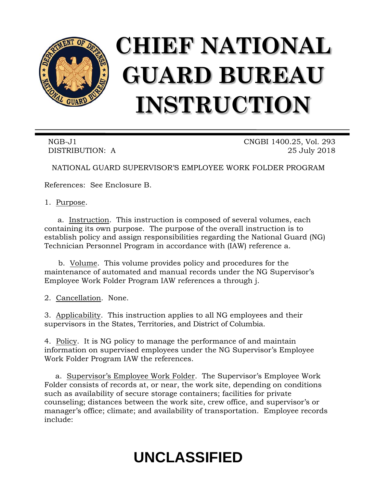

# **CHIEF NATIONAL GUARD BUREAU INSTRUCTION**

NGB-J1 CNGBI 1400.25, Vol. 293 DISTRIBUTION: A 25 July 2018

NATIONAL GUARD SUPERVISOR'S EMPLOYEE WORK FOLDER PROGRAM

References: See Enclosure B.

1. Purpose.

a. Instruction. This instruction is composed of several volumes, each containing its own purpose. The purpose of the overall instruction is to establish policy and assign responsibilities regarding the National Guard (NG) Technician Personnel Program in accordance with (IAW) reference a.

b. Volume. This volume provides policy and procedures for the maintenance of automated and manual records under the NG Supervisor's Employee Work Folder Program IAW references a through j.

2. Cancellation. None.

3. Applicability. This instruction applies to all NG employees and their supervisors in the States, Territories, and District of Columbia.

4. Policy. It is NG policy to manage the performance of and maintain information on supervised employees under the NG Supervisor's Employee Work Folder Program IAW the references.

a. Supervisor's Employee Work Folder. The Supervisor's Employee Work Folder consists of records at, or near, the work site, depending on conditions such as availability of secure storage containers; facilities for private counseling; distances between the work site, crew office, and supervisor's or manager's office; climate; and availability of transportation. Employee records include:

## **UNCLASSIFIED**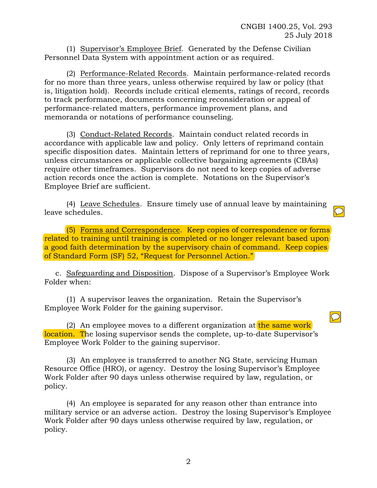$\boxed{\bigcirc}$ 

(1) Supervisor's Employee Brief. Generated by the Defense Civilian Personnel Data System with appointment action or as required.

(2) Performance-Related Records. Maintain performance-related records for no more than three years, unless otherwise required by law or policy (that is, litigation hold). Records include critical elements, ratings of record, records to track performance, documents concerning reconsideration or appeal of performance-related matters, performance improvement plans, and memoranda or notations of performance counseling.

(3) Conduct-Related Records. Maintain conduct related records in accordance with applicable law and policy. Only letters of reprimand contain specific disposition dates. Maintain letters of reprimand for one to three years, unless circumstances or applicable collective bargaining agreements (CBAs) require other timeframes. Supervisors do not need to keep copies of adverse action records once the action is complete. Notations on the Supervisor's Employee Brief are sufficient.

(4) Leave Schedules. Ensure timely use of annual leave by maintaining leave schedules.

(5) Forms and Correspondence. Keep copies of correspondence or forms related to training until training is completed or no longer relevant based upon a good faith determination by the supervisory chain of command. Keep copies of Standard Form (SF) 52, "Request for Personnel Action."

c. Safeguarding and Disposition. Dispose of a Supervisor's Employee Work Folder when:

(1) A supervisor leaves the organization. Retain the Supervisor's Employee Work Folder for the gaining supervisor.

(2) An employee moves to a different organization at the same work location. The losing supervisor sends the complete, up-to-date Supervisor's Employee Work Folder to the gaining supervisor.

(3) An employee is transferred to another NG State, servicing Human Resource Office (HRO), or agency. Destroy the losing Supervisor's Employee Work Folder after 90 days unless otherwise required by law, regulation, or policy.

(4) An employee is separated for any reason other than entrance into military service or an adverse action. Destroy the losing Supervisor's Employee Work Folder after 90 days unless otherwise required by law, regulation, or policy.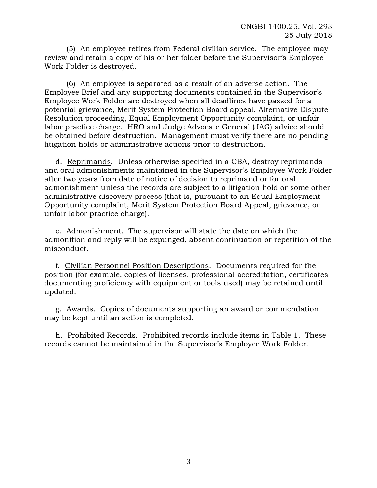(5) An employee retires from Federal civilian service. The employee may review and retain a copy of his or her folder before the Supervisor's Employee Work Folder is destroyed.

(6) An employee is separated as a result of an adverse action. The Employee Brief and any supporting documents contained in the Supervisor's Employee Work Folder are destroyed when all deadlines have passed for a potential grievance, Merit System Protection Board appeal, Alternative Dispute Resolution proceeding, Equal Employment Opportunity complaint, or unfair labor practice charge. HRO and Judge Advocate General (JAG) advice should be obtained before destruction. Management must verify there are no pending litigation holds or administrative actions prior to destruction.

d. Reprimands. Unless otherwise specified in a CBA, destroy reprimands and oral admonishments maintained in the Supervisor's Employee Work Folder after two years from date of notice of decision to reprimand or for oral admonishment unless the records are subject to a litigation hold or some other administrative discovery process (that is, pursuant to an Equal Employment Opportunity complaint, Merit System Protection Board Appeal, grievance, or unfair labor practice charge).

e. Admonishment. The supervisor will state the date on which the admonition and reply will be expunged, absent continuation or repetition of the misconduct.

f. Civilian Personnel Position Descriptions. Documents required for the position (for example, copies of licenses, professional accreditation, certificates documenting proficiency with equipment or tools used) may be retained until updated.

g. Awards. Copies of documents supporting an award or commendation may be kept until an action is completed.

h. Prohibited Records. Prohibited records include items in Table 1. These records cannot be maintained in the Supervisor's Employee Work Folder.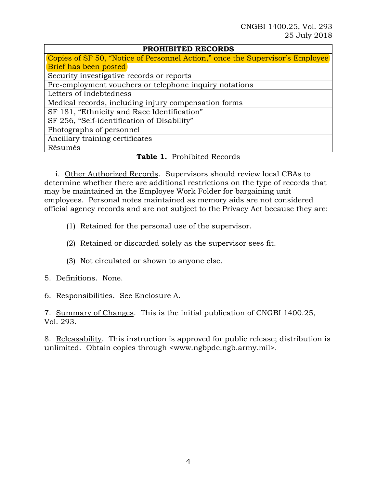#### **PROHIBITED RECORDS**

| Copies of SF 50, "Notice of Personnel Action," once the Supervisor's Employee |
|-------------------------------------------------------------------------------|
| Brief has been posted                                                         |
| Security investigative records or reports                                     |
| Pre-employment vouchers or telephone inquiry notations                        |
| Letters of indebtedness                                                       |
| Medical records, including injury compensation forms                          |
| SF 181, "Ethnicity and Race Identification"                                   |
| SF 256, "Self-identification of Disability"                                   |
| Photographs of personnel                                                      |
| Ancillary training certificates                                               |
| Résumés                                                                       |

#### **Table 1.** Prohibited Records

i. Other Authorized Records. Supervisors should review local CBAs to determine whether there are additional restrictions on the type of records that may be maintained in the Employee Work Folder for bargaining unit employees. Personal notes maintained as memory aids are not considered official agency records and are not subject to the Privacy Act because they are:

- (1) Retained for the personal use of the supervisor.
- (2) Retained or discarded solely as the supervisor sees fit.
- (3) Not circulated or shown to anyone else.
- 5. Definitions. None.
- 6. Responsibilities. See Enclosure A.

7. Summary of Changes. This is the initial publication of CNGBI 1400.25, Vol. 293.

8. Releasability. This instruction is approved for public release; distribution is unlimited. Obtain copies through <www.ngbpdc.ngb.army.mil>.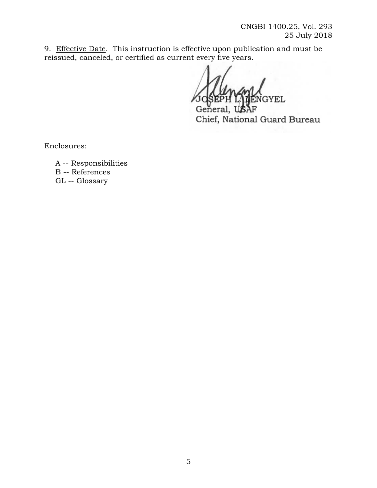CNGBI 1400.25, Vol. 293 25 July 2018

9. Effective Date. This instruction is effective upon publication and must be reissued, canceled, or certified as current every five years.

**GYEL** 

General Chief, National Guard Bureau

Enclosures:

A -- Responsibilities B -- References

GL -- Glossary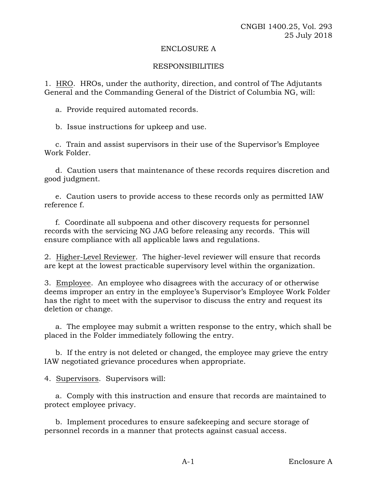#### ENCLOSURE A

#### RESPONSIBILITIES

1. HRO. HROs, under the authority, direction, and control of The Adjutants General and the Commanding General of the District of Columbia NG, will:

a. Provide required automated records.

b. Issue instructions for upkeep and use.

c. Train and assist supervisors in their use of the Supervisor's Employee Work Folder.

d. Caution users that maintenance of these records requires discretion and good judgment.

e. Caution users to provide access to these records only as permitted IAW reference f.

f. Coordinate all subpoena and other discovery requests for personnel records with the servicing NG JAG before releasing any records. This will ensure compliance with all applicable laws and regulations.

2. Higher-Level Reviewer. The higher-level reviewer will ensure that records are kept at the lowest practicable supervisory level within the organization.

3. Employee. An employee who disagrees with the accuracy of or otherwise deems improper an entry in the employee's Supervisor's Employee Work Folder has the right to meet with the supervisor to discuss the entry and request its deletion or change.

a. The employee may submit a written response to the entry, which shall be placed in the Folder immediately following the entry.

b. If the entry is not deleted or changed, the employee may grieve the entry IAW negotiated grievance procedures when appropriate.

4. Supervisors. Supervisors will:

a. Comply with this instruction and ensure that records are maintained to protect employee privacy.

b. Implement procedures to ensure safekeeping and secure storage of personnel records in a manner that protects against casual access.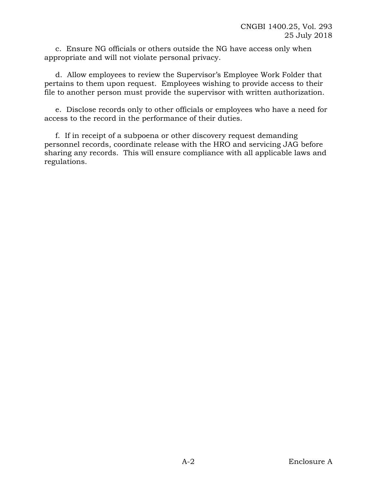c. Ensure NG officials or others outside the NG have access only when appropriate and will not violate personal privacy.

d. Allow employees to review the Supervisor's Employee Work Folder that pertains to them upon request. Employees wishing to provide access to their file to another person must provide the supervisor with written authorization.

e. Disclose records only to other officials or employees who have a need for access to the record in the performance of their duties.

f. If in receipt of a subpoena or other discovery request demanding personnel records, coordinate release with the HRO and servicing JAG before sharing any records. This will ensure compliance with all applicable laws and regulations.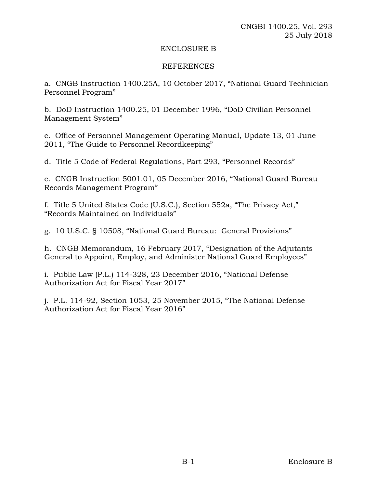#### ENCLOSURE B

#### REFERENCES

a. CNGB Instruction 1400.25A, 10 October 2017, "National Guard Technician Personnel Program"

b. DoD Instruction 1400.25, 01 December 1996, "DoD Civilian Personnel Management System"

c. Office of Personnel Management Operating Manual, Update 13, 01 June 2011, "The Guide to Personnel Recordkeeping"

d. Title 5 Code of Federal Regulations, Part 293, "Personnel Records"

e. CNGB Instruction 5001.01, 05 December 2016, "National Guard Bureau Records Management Program"

f. Title 5 United States Code (U.S.C.), Section 552a, "The Privacy Act," "Records Maintained on Individuals"

g. 10 U.S.C. § 10508, "National Guard Bureau: General Provisions"

h. CNGB Memorandum, 16 February 2017, "Designation of the Adjutants General to Appoint, Employ, and Administer National Guard Employees"

i. Public Law (P.L.) 114-328, 23 December 2016, "National Defense Authorization Act for Fiscal Year 2017"

j. P.L. 114-92, Section 1053, 25 November 2015, "The National Defense Authorization Act for Fiscal Year 2016"